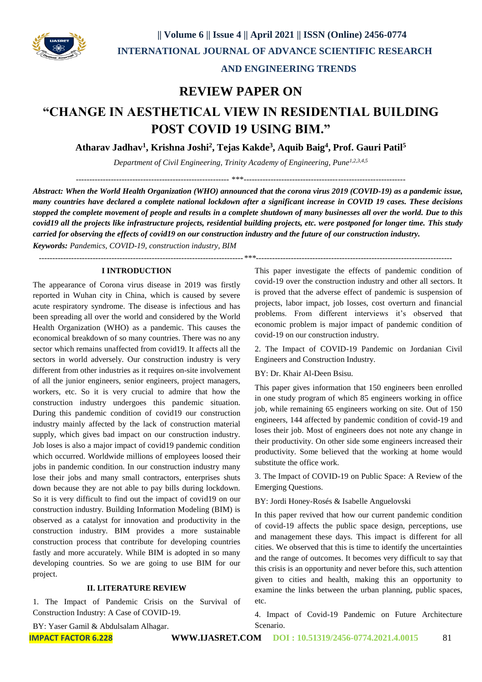

#### **AND ENGINEERING TRENDS**

## **REVIEW PAPER ON**

# **"CHANGE IN AESTHETICAL VIEW IN RESIDENTIAL BUILDING POST COVID 19 USING BIM."**

**Atharav Jadhav<sup>1</sup> , Krishna Joshi<sup>2</sup> , Tejas Kakde<sup>3</sup> , Aquib Baig<sup>4</sup> , Prof. Gauri Patil<sup>5</sup>**

*Department of Civil Engineering, Trinity Academy of Engineering, Pune1,2,3,4,5*

--------------------------------------------------------- \*\*\*------------------------------------------------------------

*Abstract: When the World Health Organization (WHO) announced that the corona virus 2019 (COVID-19) as a pandemic issue, many countries have declared a complete national lockdown after a significant increase in COVID 19 cases. These decisions stopped the complete movement of people and results in a complete shutdown of many businesses all over the world. Due to this covid19 all the projects like infrastructure projects, residential building projects, etc. were postponed for longer time. This study carried for observing the effects of covid19 on our construction industry and the future of our construction industry.*

*Keywords: Pandemics, COVID-19, construction industry, BIM*

*----------------------------------------------------------------------------\*\*\*-------------------------------------------------------------------------*

#### **I INTRODUCTION**

The appearance of Corona virus disease in 2019 was firstly reported in Wuhan city in China, which is caused by severe acute respiratory syndrome. The disease is infectious and has been spreading all over the world and considered by the World Health Organization (WHO) as a pandemic. This causes the economical breakdown of so many countries. There was no any sector which remains unaffected from covid19. It affects all the sectors in world adversely. Our construction industry is very different from other industries as it requires on-site involvement of all the junior engineers, senior engineers, project managers, workers, etc. So it is very crucial to admire that how the construction industry undergoes this pandemic situation. During this pandemic condition of covid19 our construction industry mainly affected by the lack of construction material supply, which gives bad impact on our construction industry. Job loses is also a major impact of covid19 pandemic condition which occurred. Worldwide millions of employees loosed their jobs in pandemic condition. In our construction industry many lose their jobs and many small contractors, enterprises shuts down because they are not able to pay bills during lockdown. So it is very difficult to find out the impact of covid19 on our construction industry. Building Information Modeling (BIM) is observed as a catalyst for innovation and productivity in the construction industry. BIM provides a more sustainable construction process that contribute for developing countries fastly and more accurately. While BIM is adopted in so many developing countries. So we are going to use BIM for our project.

#### **II. LITERATURE REVIEW**

1. The Impact of Pandemic Crisis on the Survival of Construction Industry: A Case of COVID-19.

This paper investigate the effects of pandemic condition of covid-19 over the construction industry and other all sectors. It is proved that the adverse effect of pandemic is suspension of projects, labor impact, job losses, cost overturn and financial problems. From different interviews it's observed that economic problem is major impact of pandemic condition of covid-19 on our construction industry.

2. The Impact of COVID-19 Pandemic on Jordanian Civil Engineers and Construction Industry.

BY: Dr. Khair Al-Deen Bsisu.

This paper gives information that 150 engineers been enrolled in one study program of which 85 engineers working in office job, while remaining 65 engineers working on site. Out of 150 engineers, 144 affected by pandemic condition of covid-19 and loses their job. Most of engineers does not note any change in their productivity. On other side some engineers increased their productivity. Some believed that the working at home would substitute the office work.

3. The Impact of COVID-19 on Public Space: A Review of the Emerging Questions.

BY: Jordi Honey-Rosés & Isabelle Anguelovski

In this paper revived that how our current pandemic condition of covid-19 affects the public space design, perceptions, use and management these days. This impact is different for all cities. We observed that this is time to identify the uncertainties and the range of outcomes. It becomes very difficult to say that this crisis is an opportunity and never before this, such attention given to cities and health, making this an opportunity to examine the links between the urban planning, public spaces, etc.

4. Impact of Covid-19 Pandemic on Future Architecture Scenario.

BY: Yaser Gamil & Abdulsalam Alhagar.

**IMPACT FACTOR 6.228 WWW.IJASRET.COM DOI : 10.51319/2456-0774.2021.4.0015** 81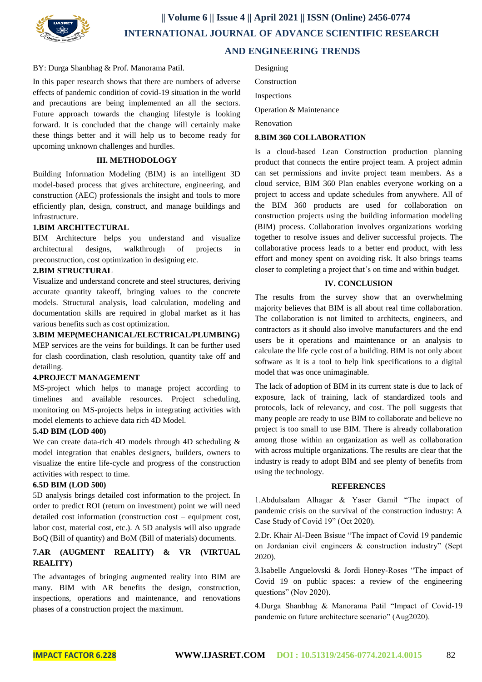

## **|| Volume 6 || Issue 4 || April 2021 || ISSN (Online) 2456-0774 INTERNATIONAL JOURNAL OF ADVANCE SCIENTIFIC RESEARCH AND ENGINEERING TRENDS**

#### BY: Durga Shanbhag & Prof. Manorama Patil.

In this paper research shows that there are numbers of adverse effects of pandemic condition of covid-19 situation in the world and precautions are being implemented an all the sectors. Future approach towards the changing lifestyle is looking forward. It is concluded that the change will certainly make these things better and it will help us to become ready for upcoming unknown challenges and hurdles.

#### **III. METHODOLOGY**

Building Information Modeling (BIM) is an intelligent 3D model-based process that gives architecture, engineering, and construction (AEC) professionals the insight and tools to more efficiently plan, design, construct, and manage buildings and infrastructure.

#### **1.BIM ARCHITECTURAL**

BIM Architecture helps you understand and visualize architectural designs, walkthrough of projects in preconstruction, cost optimization in designing etc.

#### **2.BIM STRUCTURAL**

Visualize and understand concrete and steel structures, deriving accurate quantity takeoff, bringing values to the concrete models. Structural analysis, load calculation, modeling and documentation skills are required in global market as it has various benefits such as cost optimization.

**3.BIM MEP(MECHANICAL/ELECTRICAL/PLUMBING)** MEP services are the veins for buildings. It can be further used for clash coordination, clash resolution, quantity take off and detailing.

#### **4.PROJECT MANAGEMENT**

MS-project which helps to manage project according to timelines and available resources. Project scheduling, monitoring on MS-projects helps in integrating activities with model elements to achieve data rich 4D Model.

#### **5.4D BIM (LOD 400)**

We can create data-rich 4D models through 4D scheduling & model integration that enables designers, builders, owners to visualize the entire life-cycle and progress of the construction activities with respect to time.

#### **6.5D BIM (LOD 500)**

5D analysis brings detailed cost information to the project. In order to predict ROI (return on investment) point we will need detailed cost information (construction cost – equipment cost, labor cost, material cost, etc.). A 5D analysis will also upgrade BoQ (Bill of quantity) and BoM (Bill of materials) documents.

#### **7.AR (AUGMENT REALITY) & VR (VIRTUAL REALITY)**

The advantages of bringing augmented reality into BIM are many. BIM with AR benefits the design, construction, inspections, operations and maintenance, and renovations phases of a construction project the maximum.

Designing

Construction

**Inspections** 

Operation & Maintenance

Renovation

#### **8.BIM 360 COLLABORATION**

Is a cloud-based Lean Construction production planning product that connects the entire project team. A project admin can set permissions and invite project team members. As a cloud service, BIM 360 Plan enables everyone working on a project to access and update schedules from anywhere. All of the BIM 360 products are used for collaboration on construction projects using the building information modeling (BIM) process. Collaboration involves organizations working together to resolve issues and deliver successful projects. The collaborative process leads to a better end product, with less effort and money spent on avoiding risk. It also brings teams closer to completing a project that's on time and within budget.

#### **IV. CONCLUSION**

The results from the survey show that an overwhelming majority believes that BIM is all about real time collaboration. The collaboration is not limited to architects, engineers, and contractors as it should also involve manufacturers and the end users be it operations and maintenance or an analysis to calculate the life cycle cost of a building. BIM is not only about software as it is a tool to help link specifications to a digital model that was once unimaginable.

The lack of adoption of BIM in its current state is due to lack of exposure, lack of training, lack of standardized tools and protocols, lack of relevancy, and cost. The poll suggests that many people are ready to use BIM to collaborate and believe no project is too small to use BIM. There is already collaboration among those within an organization as well as collaboration with across multiple organizations. The results are clear that the industry is ready to adopt BIM and see plenty of benefits from using the technology.

#### **REFERENCES**

1.Abdulsalam Alhagar & Yaser Gamil "The impact of pandemic crisis on the survival of the construction industry: A Case Study of Covid 19" (Oct 2020).

2.Dr. Khair Al-Deen Bsisue "The impact of Covid 19 pandemic on Jordanian civil engineers & construction industry" (Sept 2020).

3.Isabelle Anguelovski & Jordi Honey-Roses "The impact of Covid 19 on public spaces: a review of the engineering questions" (Nov 2020).

4.Durga Shanbhag & Manorama Patil "Impact of Covid-19 pandemic on future architecture scenario" (Aug2020).